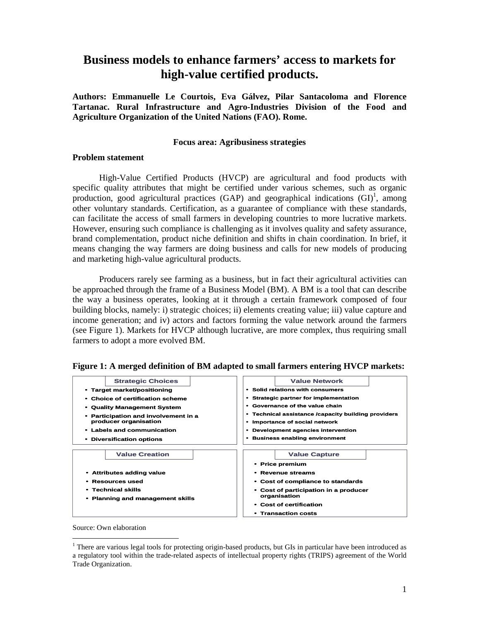# **Business models to enhance farmers' access to markets for high-value certified products.**

**Authors: Emmanuelle Le Courtois, Eva Gálvez, Pilar Santacoloma and Florence Tartanac. Rural Infrastructure and Agro-Industries Division of the Food and Agriculture Organization of the United Nations (FAO). Rome.** 

#### **Focus area: Agribusiness strategies**

#### **Problem statement**

 High-Value Certified Products (HVCP) are agricultural and food products with specific quality attributes that might be certified under various schemes, such as organic production, good agricultural practices (GAP) and geographical indications  $(GI)^1$ , among other voluntary standards. Certification, as a guarantee of compliance with these standards, can facilitate the access of small farmers in developing countries to more lucrative markets. However, ensuring such compliance is challenging as it involves quality and safety assurance, brand complementation, product niche definition and shifts in chain coordination. In brief, it means changing the way farmers are doing business and calls for new models of producing and marketing high-value agricultural products.

 Producers rarely see farming as a business, but in fact their agricultural activities can be approached through the frame of a Business Model (BM). A BM is a tool that can describe the way a business operates, looking at it through a certain framework composed of four building blocks, namely: i) strategic choices; ii) elements creating value; iii) value capture and income generation; and iv) actors and factors forming the value network around the farmers (see Figure 1). Markets for HVCP although lucrative, are more complex, thus requiring small farmers to adopt a more evolved BM.



**Figure 1: A merged definition of BM adapted to small farmers entering HVCP markets:** 

Source: Own elaboration

 $\overline{a}$ 

<sup>&</sup>lt;sup>1</sup> There are various legal tools for protecting origin-based products, but GIs in particular have been introduced as a regulatory tool within the trade-related aspects of intellectual property rights (TRIPS) agreement of the World Trade Organization.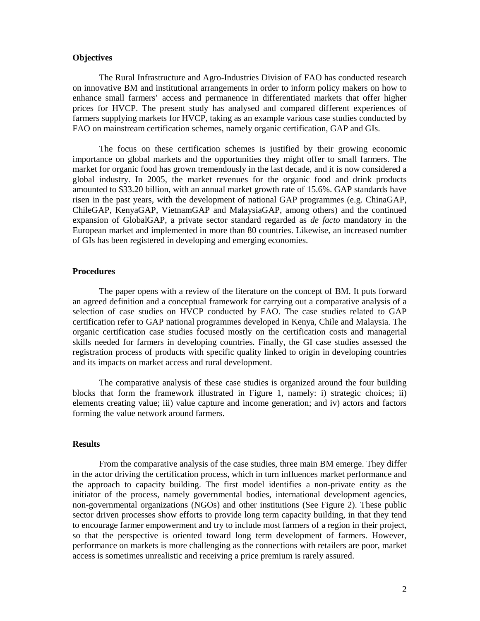## **Objectives**

 The Rural Infrastructure and Agro-Industries Division of FAO has conducted research on innovative BM and institutional arrangements in order to inform policy makers on how to enhance small farmers' access and permanence in differentiated markets that offer higher prices for HVCP. The present study has analysed and compared different experiences of farmers supplying markets for HVCP, taking as an example various case studies conducted by FAO on mainstream certification schemes, namely organic certification, GAP and GIs.

 The focus on these certification schemes is justified by their growing economic importance on global markets and the opportunities they might offer to small farmers. The market for organic food has grown tremendously in the last decade, and it is now considered a global industry. In 2005, the market revenues for the organic food and drink products amounted to \$33.20 billion, with an annual market growth rate of 15.6%. GAP standards have risen in the past years, with the development of national GAP programmes (e.g. ChinaGAP, ChileGAP, KenyaGAP, VietnamGAP and MalaysiaGAP, among others) and the continued expansion of GlobalGAP, a private sector standard regarded as *de facto* mandatory in the European market and implemented in more than 80 countries. Likewise, an increased number of GIs has been registered in developing and emerging economies.

## **Procedures**

 The paper opens with a review of the literature on the concept of BM. It puts forward an agreed definition and a conceptual framework for carrying out a comparative analysis of a selection of case studies on HVCP conducted by FAO. The case studies related to GAP certification refer to GAP national programmes developed in Kenya, Chile and Malaysia. The organic certification case studies focused mostly on the certification costs and managerial skills needed for farmers in developing countries. Finally, the GI case studies assessed the registration process of products with specific quality linked to origin in developing countries and its impacts on market access and rural development.

 The comparative analysis of these case studies is organized around the four building blocks that form the framework illustrated in Figure 1, namely: i) strategic choices; ii) elements creating value; iii) value capture and income generation; and iv) actors and factors forming the value network around farmers.

## **Results**

 From the comparative analysis of the case studies, three main BM emerge. They differ in the actor driving the certification process, which in turn influences market performance and the approach to capacity building. The first model identifies a non-private entity as the initiator of the process, namely governmental bodies, international development agencies, non-governmental organizations (NGOs) and other institutions (See Figure 2). These public sector driven processes show efforts to provide long term capacity building, in that they tend to encourage farmer empowerment and try to include most farmers of a region in their project, so that the perspective is oriented toward long term development of farmers. However, performance on markets is more challenging as the connections with retailers are poor, market access is sometimes unrealistic and receiving a price premium is rarely assured.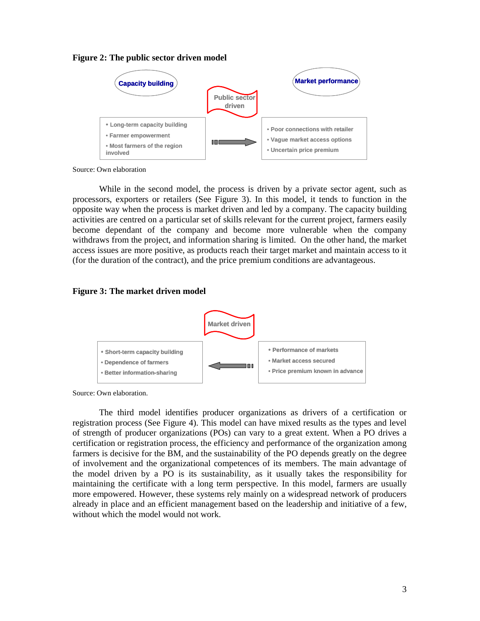



Source: Own elaboration

 While in the second model, the process is driven by a private sector agent, such as processors, exporters or retailers (See Figure 3). In this model, it tends to function in the opposite way when the process is market driven and led by a company. The capacity building activities are centred on a particular set of skills relevant for the current project, farmers easily become dependant of the company and become more vulnerable when the company withdraws from the project, and information sharing is limited. On the other hand, the market access issues are more positive, as products reach their target market and maintain access to it (for the duration of the contract), and the price premium conditions are advantageous.

#### **Figure 3: The market driven model**



Source: Own elaboration.

 The third model identifies producer organizations as drivers of a certification or registration process (See Figure 4). This model can have mixed results as the types and level of strength of producer organizations (POs) can vary to a great extent. When a PO drives a certification or registration process, the efficiency and performance of the organization among farmers is decisive for the BM, and the sustainability of the PO depends greatly on the degree of involvement and the organizational competences of its members. The main advantage of the model driven by a PO is its sustainability, as it usually takes the responsibility for maintaining the certificate with a long term perspective. In this model, farmers are usually more empowered. However, these systems rely mainly on a widespread network of producers already in place and an efficient management based on the leadership and initiative of a few, without which the model would not work.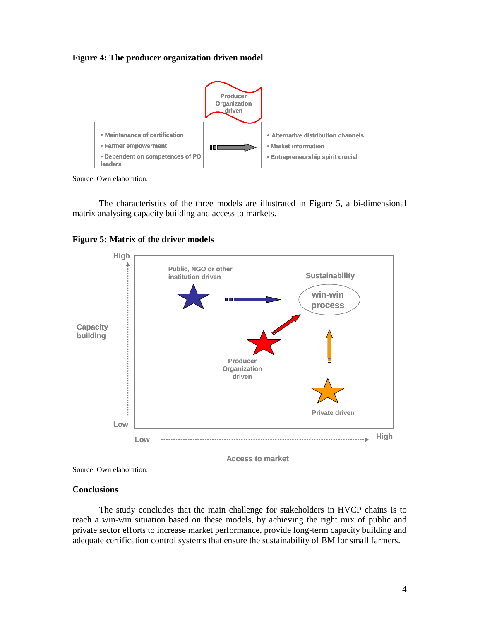**Figure 4: The producer organization driven model** 



Source: Own elaboration.

 The characteristics of the three models are illustrated in Figure 5, a bi-dimensional matrix analysing capacity building and access to markets.



**Figure 5: Matrix of the driver models** 

**Access to market**

Source: Own elaboration.

## **Conclusions**

 The study concludes that the main challenge for stakeholders in HVCP chains is to reach a win-win situation based on these models, by achieving the right mix of public and private sector efforts to increase market performance, provide long-term capacity building and adequate certification control systems that ensure the sustainability of BM for small farmers.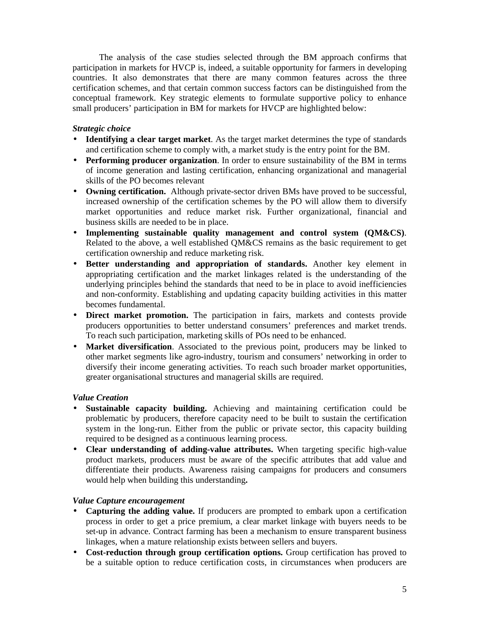The analysis of the case studies selected through the BM approach confirms that participation in markets for HVCP is, indeed, a suitable opportunity for farmers in developing countries. It also demonstrates that there are many common features across the three certification schemes, and that certain common success factors can be distinguished from the conceptual framework. Key strategic elements to formulate supportive policy to enhance small producers' participation in BM for markets for HVCP are highlighted below:

# *Strategic choice*

- **Identifying a clear target market**. As the target market determines the type of standards and certification scheme to comply with, a market study is the entry point for the BM.
- **Performing producer organization**. In order to ensure sustainability of the BM in terms of income generation and lasting certification, enhancing organizational and managerial skills of the PO becomes relevant
- **Owning certification.** Although private-sector driven BMs have proved to be successful, increased ownership of the certification schemes by the PO will allow them to diversify market opportunities and reduce market risk. Further organizational, financial and business skills are needed to be in place.
- **Implementing sustainable quality management and control system (QM&CS)**. Related to the above, a well established QM&CS remains as the basic requirement to get certification ownership and reduce marketing risk.
- **Better understanding and appropriation of standards.** Another key element in appropriating certification and the market linkages related is the understanding of the underlying principles behind the standards that need to be in place to avoid inefficiencies and non-conformity. Establishing and updating capacity building activities in this matter becomes fundamental.
- **Direct market promotion.** The participation in fairs, markets and contests provide producers opportunities to better understand consumers' preferences and market trends. To reach such participation, marketing skills of POs need to be enhanced.
- **Market diversification**. Associated to the previous point, producers may be linked to other market segments like agro-industry, tourism and consumers' networking in order to diversify their income generating activities. To reach such broader market opportunities, greater organisational structures and managerial skills are required.

# *Value Creation*

- **Sustainable capacity building.** Achieving and maintaining certification could be problematic by producers, therefore capacity need to be built to sustain the certification system in the long-run. Either from the public or private sector, this capacity building required to be designed as a continuous learning process.
- **Clear understanding of adding-value attributes.** When targeting specific high-value product markets, producers must be aware of the specific attributes that add value and differentiate their products. Awareness raising campaigns for producers and consumers would help when building this understanding**.**

# *Value Capture encouragement*

- **Capturing the adding value.** If producers are prompted to embark upon a certification process in order to get a price premium, a clear market linkage with buyers needs to be set-up in advance. Contract farming has been a mechanism to ensure transparent business linkages, when a mature relationship exists between sellers and buyers.
- **Cost-reduction through group certification options.** Group certification has proved to be a suitable option to reduce certification costs, in circumstances when producers are